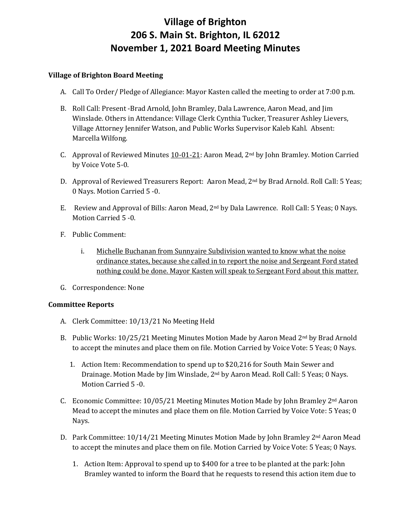# **Village of Brighton 206 S. Main St. Brighton, IL 62012 November 1, 2021 Board Meeting Minutes**

## **Village of Brighton Board Meeting**

- A. Call To Order/ Pledge of Allegiance: Mayor Kasten called the meeting to order at 7:00 p.m.
- B. Roll Call: Present -Brad Arnold, John Bramley, Dala Lawrence, Aaron Mead, and Jim Winslade. Others in Attendance: Village Clerk Cynthia Tucker, Treasurer Ashley Lievers, Village Attorney Jennifer Watson, and Public Works Supervisor Kaleb Kahl. Absent: Marcella Wilfong.
- C. Approval of Reviewed Minutes 10-01-21: Aaron Mead, 2nd by John Bramley. Motion Carried by Voice Vote 5-0.
- D. Approval of Reviewed Treasurers Report: Aaron Mead, 2nd by Brad Arnold. Roll Call: 5 Yeas; 0 Nays. Motion Carried 5 -0.
- E. Review and Approval of Bills: Aaron Mead, 2nd by Dala Lawrence. Roll Call: 5 Yeas; 0 Nays. Motion Carried 5 -0.
- F. Public Comment:
	- i. Michelle Buchanan from Sunnyaire Subdivision wanted to know what the noise ordinance states, because she called in to report the noise and Sergeant Ford stated nothing could be done. Mayor Kasten will speak to Sergeant Ford about this matter.
- G. Correspondence: None

#### **Committee Reports**

- A. Clerk Committee: 10/13/21 No Meeting Held
- B. Public Works: 10/25/21 Meeting Minutes Motion Made by Aaron Mead 2nd by Brad Arnold to accept the minutes and place them on file. Motion Carried by Voice Vote: 5 Yeas; 0 Nays.
	- 1. Action Item: Recommendation to spend up to \$20,216 for South Main Sewer and Drainage. Motion Made by Jim Winslade, 2nd by Aaron Mead. Roll Call: 5 Yeas; 0 Nays. Motion Carried 5 -0.
- C. Economic Committee: 10/05/21 Meeting Minutes Motion Made by John Bramley 2nd Aaron Mead to accept the minutes and place them on file. Motion Carried by Voice Vote: 5 Yeas; 0 Nays.
- D. Park Committee: 10/14/21 Meeting Minutes Motion Made by John Bramley 2nd Aaron Mead to accept the minutes and place them on file. Motion Carried by Voice Vote: 5 Yeas; 0 Nays.
	- 1. Action Item: Approval to spend up to \$400 for a tree to be planted at the park: John Bramley wanted to inform the Board that he requests to resend this action item due to